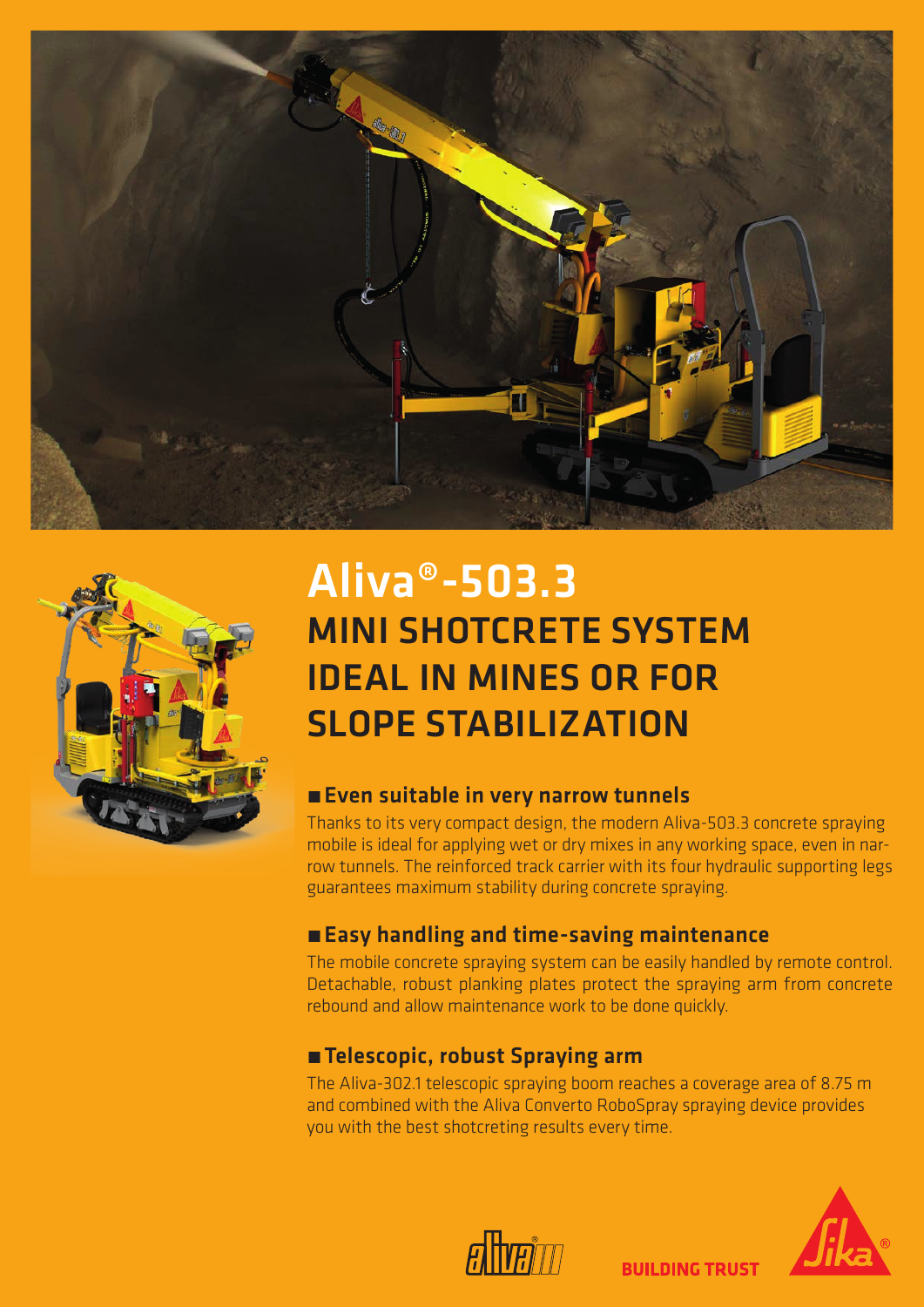



# Aliva®-503.3 MINI SHOTCRETE SYSTEM IDEAL IN MINES OR FOR SLOPE STABILIZATION

#### **Exen suitable in very narrow tunnels**

Thanks to its very compact design, the modern Aliva-503.3 concrete spraying mobile is ideal for applying wet or dry mixes in any working space, even in narrow tunnels. The reinforced track carrier with its four hydraulic supporting legs guarantees maximum stability during concrete spraying.

### **Easy handling and time-saving maintenance**

The mobile concrete spraying system can be easily handled by remote control. Detachable, robust planking plates protect the spraying arm from concrete rebound and allow maintenance work to be done quickly.

#### ■ Telescopic, robust Spraying arm

The Aliva-302.1 telescopic spraying boom reaches a coverage area of 8.75 m and combined with the Aliva Converto RoboSpray spraying device provides you with the best shotcreting results every time.

**BUILDING TRUST**